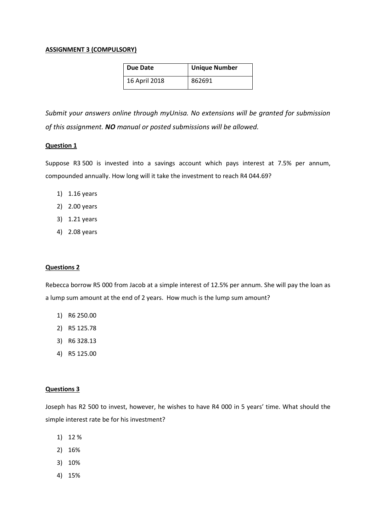### **ASSIGNMENT 3 (COMPULSORY)**

| Due Date      | <b>Unique Number</b> |
|---------------|----------------------|
| 16 April 2018 | 862691               |

*Submit your answers online through myUnisa. No extensions will be granted for submission of this assignment. NO manual or posted submissions will be allowed.*

# **Question 1**

Suppose R3 500 is invested into a savings account which pays interest at 7.5% per annum, compounded annually. How long will it take the investment to reach R4 044.69?

- 1) 1.16 years
- 2) 2.00 years
- 3) 1.21 years
- 4) 2.08 years

#### **Questions 2**

Rebecca borrow R5 000 from Jacob at a simple interest of 12.5% per annum. She will pay the loan as a lump sum amount at the end of 2 years. How much is the lump sum amount?

- 1) R6 250.00
- 2) R5 125.78
- 3) R6 328.13
- 4) R5 125.00

#### **Questions 3**

Joseph has R2 500 to invest, however, he wishes to have R4 000 in 5 years' time. What should the simple interest rate be for his investment?

- 1) 12 %
- 2) 16%
- 3) 10%
- 4) 15%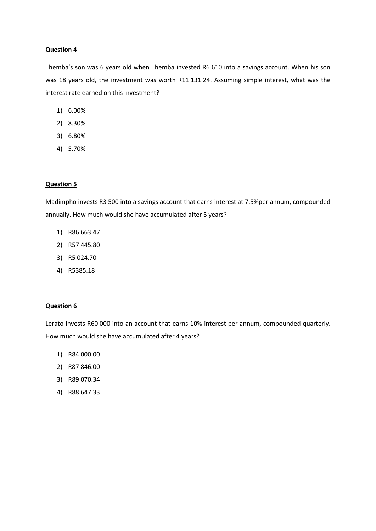Themba's son was 6 years old when Themba invested R6 610 into a savings account. When his son was 18 years old, the investment was worth R11 131.24. Assuming simple interest, what was the interest rate earned on this investment?

- 1) 6.00%
- 2) 8.30%
- 3) 6.80%
- 4) 5.70%

# **Question 5**

Madimpho invests R3 500 into a savings account that earns interest at 7.5%per annum, compounded annually. How much would she have accumulated after 5 years?

- 1) R86 663.47
- 2) R57 445.80
- 3) R5 024.70
- 4) R5385.18

#### **Question 6**

Lerato invests R60 000 into an account that earns 10% interest per annum, compounded quarterly. How much would she have accumulated after 4 years?

- 1) R84 000.00
- 2) R87 846.00
- 3) R89 070.34
- 4) R88 647.33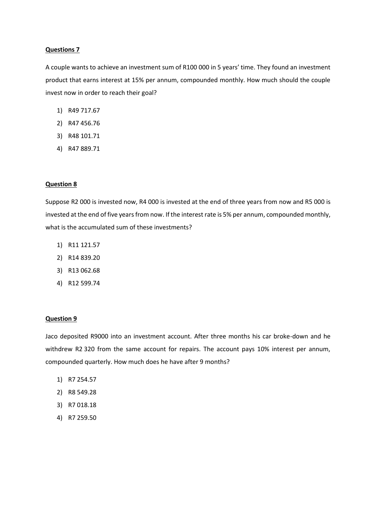A couple wants to achieve an investment sum of R100 000 in 5 years' time. They found an investment product that earns interest at 15% per annum, compounded monthly. How much should the couple invest now in order to reach their goal?

- 1) R49 717.67
- 2) R47 456.76
- 3) R48 101.71
- 4) R47 889.71

#### **Question 8**

Suppose R2 000 is invested now, R4 000 is invested at the end of three years from now and R5 000 is invested at the end of five years from now. If the interest rate is 5% per annum, compounded monthly, what is the accumulated sum of these investments?

- 1) R11 121.57
- 2) R14 839.20
- 3) R13 062.68
- 4) R12 599.74

#### **Question 9**

Jaco deposited R9000 into an investment account. After three months his car broke-down and he withdrew R2 320 from the same account for repairs. The account pays 10% interest per annum, compounded quarterly. How much does he have after 9 months?

- 1) R7 254.57
- 2) R8 549.28
- 3) R7 018.18
- 4) R7 259.50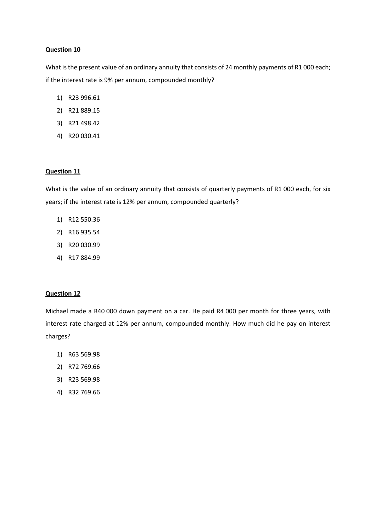What is the present value of an ordinary annuity that consists of 24 monthly payments of R1 000 each; if the interest rate is 9% per annum, compounded monthly?

- 1) R23 996.61
- 2) R21 889.15
- 3) R21 498.42
- 4) R20 030.41

# **Question 11**

What is the value of an ordinary annuity that consists of quarterly payments of R1 000 each, for six years; if the interest rate is 12% per annum, compounded quarterly?

- 1) R12 550.36
- 2) R16 935.54
- 3) R20 030.99
- 4) R17 884.99

# **Question 12**

Michael made a R40 000 down payment on a car. He paid R4 000 per month for three years, with interest rate charged at 12% per annum, compounded monthly. How much did he pay on interest charges?

- 1) R63 569.98
- 2) R72 769.66
- 3) R23 569.98
- 4) R32 769.66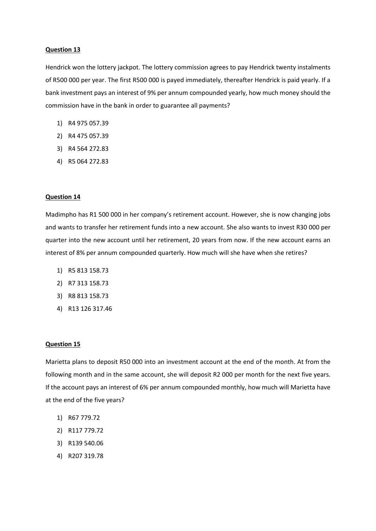Hendrick won the lottery jackpot. The lottery commission agrees to pay Hendrick twenty instalments of R500 000 per year. The first R500 000 is payed immediately, thereafter Hendrick is paid yearly. If a bank investment pays an interest of 9% per annum compounded yearly, how much money should the commission have in the bank in order to guarantee all payments?

- 1) R4 975 057.39
- 2) R4 475 057.39
- 3) R4 564 272.83
- 4) R5 064 272.83

# **Question 14**

Madimpho has R1 500 000 in her company's retirement account. However, she is now changing jobs and wants to transfer her retirement funds into a new account. She also wants to invest R30 000 per quarter into the new account until her retirement, 20 years from now. If the new account earns an interest of 8% per annum compounded quarterly. How much will she have when she retires?

- 1) R5 813 158.73
- 2) R7 313 158.73
- 3) R8 813 158.73
- 4) R13 126 317.46

# **Question 15**

Marietta plans to deposit R50 000 into an investment account at the end of the month. At from the following month and in the same account, she will deposit R2 000 per month for the next five years. If the account pays an interest of 6% per annum compounded monthly, how much will Marietta have at the end of the five years?

- 1) R67 779.72
- 2) R117 779.72
- 3) R139 540.06
- 4) R207 319.78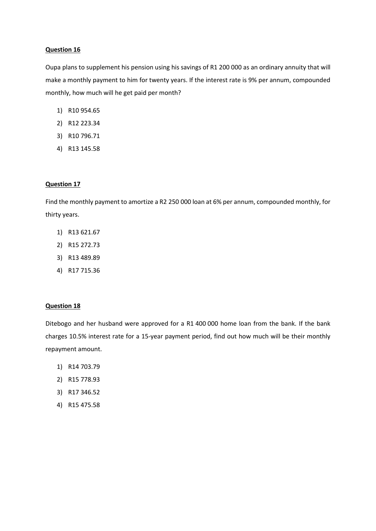Oupa plans to supplement his pension using his savings of R1 200 000 as an ordinary annuity that will make a monthly payment to him for twenty years. If the interest rate is 9% per annum, compounded monthly, how much will he get paid per month?

- 1) R10 954.65
- 2) R12 223.34
- 3) R10 796.71
- 4) R13 145.58

### **Question 17**

Find the monthly payment to amortize a R2 250 000 loan at 6% per annum, compounded monthly, for thirty years.

- 1) R13 621.67
- 2) R15 272.73
- 3) R13 489.89
- 4) R17 715.36

# **Question 18**

Ditebogo and her husband were approved for a R1 400 000 home loan from the bank. If the bank charges 10.5% interest rate for a 15-year payment period, find out how much will be their monthly repayment amount.

- 1) R14 703.79
- 2) R15 778.93
- 3) R17 346.52
- 4) R15 475.58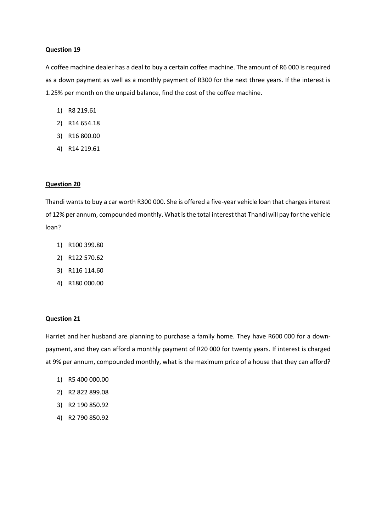A coffee machine dealer has a deal to buy a certain coffee machine. The amount of R6 000 is required as a down payment as well as a monthly payment of R300 for the next three years. If the interest is 1.25% per month on the unpaid balance, find the cost of the coffee machine.

- 1) R8 219.61
- 2) R14 654.18
- 3) R16 800.00
- 4) R14 219.61

#### **Question 20**

Thandi wants to buy a car worth R300 000. She is offered a five-year vehicle loan that charges interest of 12% per annum, compounded monthly. What is the total interest that Thandi will pay for the vehicle loan?

- 1) R100 399.80
- 2) R122 570.62
- 3) R116 114.60
- 4) R180 000.00

#### **Question 21**

Harriet and her husband are planning to purchase a family home. They have R600 000 for a downpayment, and they can afford a monthly payment of R20 000 for twenty years. If interest is charged at 9% per annum, compounded monthly, what is the maximum price of a house that they can afford?

- 1) R5 400 000.00
- 2) R2 822 899.08
- 3) R2 190 850.92
- 4) R2 790 850.92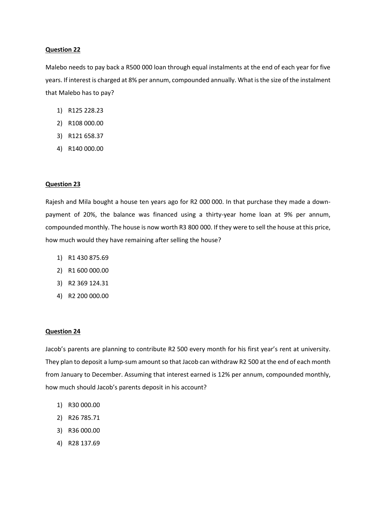Malebo needs to pay back a R500 000 loan through equal instalments at the end of each year for five years. If interest is charged at 8% per annum, compounded annually. What is the size of the instalment that Malebo has to pay?

- 1) R125 228.23
- 2) R108 000.00
- 3) R121 658.37
- 4) R140 000.00

#### **Question 23**

Rajesh and Mila bought a house ten years ago for R2 000 000. In that purchase they made a downpayment of 20%, the balance was financed using a thirty-year home loan at 9% per annum, compounded monthly. The house is now worth R3 800 000. If they were to sell the house at this price, how much would they have remaining after selling the house?

- 1) R1 430 875.69
- 2) R1 600 000.00
- 3) R2 369 124.31
- 4) R2 200 000.00

#### **Question 24**

Jacob's parents are planning to contribute R2 500 every month for his first year's rent at university. They plan to deposit a lump-sum amount so that Jacob can withdraw R2 500 at the end of each month from January to December. Assuming that interest earned is 12% per annum, compounded monthly, how much should Jacob's parents deposit in his account?

- 1) R30 000.00
- 2) R26 785.71
- 3) R36 000.00
- 4) R28 137.69